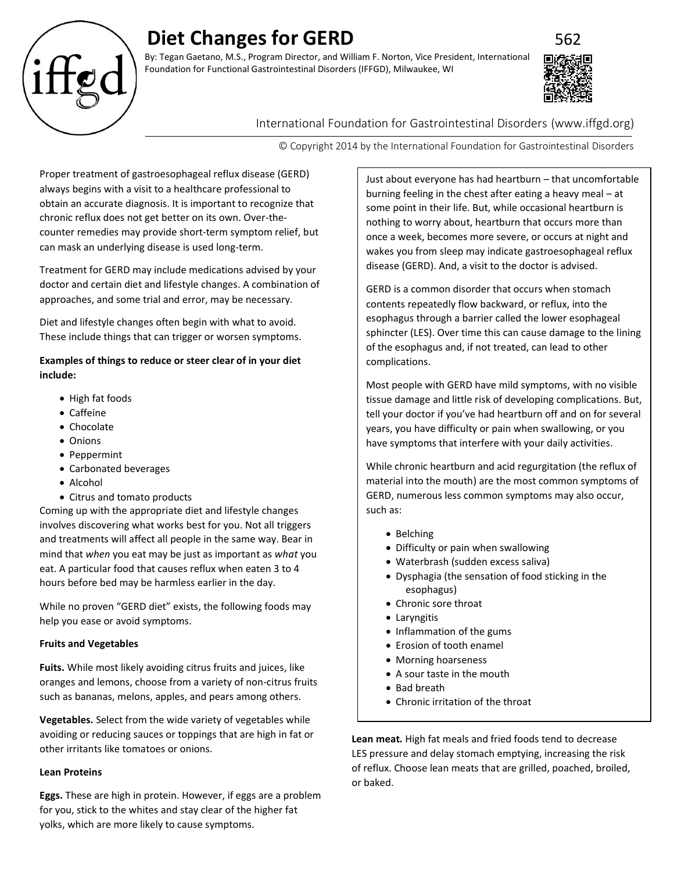# **Diet Changes for GERD**

By: Tegan Gaetano, M.S., Program Director, and William F. Norton, Vice President, International Foundation for Functional Gastrointestinal Disorders (IFFGD), Milwaukee, WI



# International Foundation for Gastrointestinal Disorders (www.iffgd.org)

© Copyright 2014 by the International Foundation for Gastrointestinal Disorders

Proper treatment of gastroesophageal reflux disease (GERD) always begins with a visit to a healthcare professional to obtain an accurate diagnosis. It is important to recognize that chronic reflux does not get better on its own. Over-thecounter remedies may provide short-term symptom relief, but can mask an underlying disease is used long-term.

Treatment for GERD may include medications advised by your doctor and certain diet and lifestyle changes. A combination of approaches, and some trial and error, may be necessary.

Diet and lifestyle changes often begin with what to avoid. These include things that can trigger or worsen symptoms.

## **Examples of things to reduce or steer clear of in your diet include:**

- High fat foods
- Caffeine
- Chocolate
- Onions
- Peppermint
- Carbonated beverages
- Alcohol
- Citrus and tomato products

Coming up with the appropriate diet and lifestyle changes involves discovering what works best for you. Not all triggers and treatments will affect all people in the same way. Bear in mind that *when* you eat may be just as important as *what* you eat. A particular food that causes reflux when eaten 3 to 4 hours before bed may be harmless earlier in the day.

While no proven "GERD diet" exists, the following foods may help you ease or avoid symptoms.

## **Fruits and Vegetables**

**Fuits.** While most likely avoiding citrus fruits and juices, like oranges and lemons, choose from a variety of non-citrus fruits such as bananas, melons, apples, and pears among others.

**Vegetables.** Select from the wide variety of vegetables while avoiding or reducing sauces or toppings that are high in fat or other irritants like tomatoes or onions.

## **Lean Proteins**

**Eggs.** These are high in protein. However, if eggs are a problem for you, stick to the whites and stay clear of the higher fat yolks, which are more likely to cause symptoms.

Just about everyone has had heartburn – that uncomfortable burning feeling in the chest after eating a heavy meal – at some point in their life. But, while occasional heartburn is nothing to worry about, heartburn that occurs more than once a week, becomes more severe, or occurs at night and wakes you from sleep may indicate gastroesophageal reflux disease (GERD). And, a visit to the doctor is advised.

GERD is a common disorder that occurs when stomach contents repeatedly flow backward, or reflux, into the esophagus through a barrier called the lower esophageal sphincter (LES). Over time this can cause damage to the lining of the esophagus and, if not treated, can lead to other complications.

Most people with GERD have mild symptoms, with no visible tissue damage and little risk of developing complications. But, tell your doctor if you've had heartburn off and on for several years, you have difficulty or pain when swallowing, or you have symptoms that interfere with your daily activities.

While chronic heartburn and acid regurgitation (the reflux of material into the mouth) are the most common symptoms of GERD, numerous less common symptoms may also occur, such as:

- Belching
- Difficulty or pain when swallowing
- Waterbrash (sudden excess saliva)
- Dysphagia (the sensation of food sticking in the esophagus)
- Chronic sore throat
- Laryngitis
- Inflammation of the gums
- Erosion of tooth enamel
- Morning hoarseness
- A sour taste in the mouth
- Bad breath
- Chronic irritation of the throat

**Lean meat.** High fat meals and fried foods tend to decrease LES pressure and delay stomach emptying, increasing the risk of reflux. Choose lean meats that are grilled, poached, broiled, or baked.